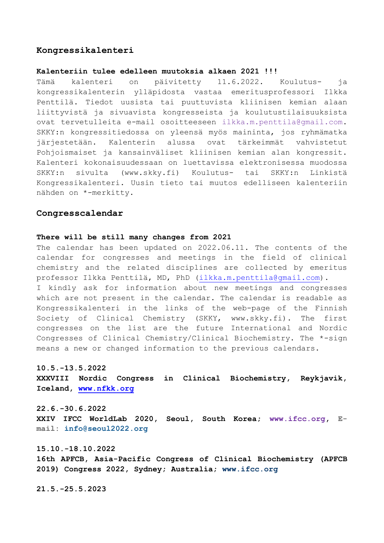## **Kongressikalenteri**

#### **Kalenteriin tulee edelleen muutoksia alkaen 2021 !!!**

Tämä kalenteri on päivitetty 11.6.2022. Koulutus- ja kongressikalenterin ylläpidosta vastaa emeritusprofessori Ilkka Penttilä. Tiedot uusista tai puuttuvista kliinisen kemian alaan liittyvistä ja sivuavista kongresseista ja koulutustilaisuuksista ovat tervetulleita e-mail osoitteeseen ilkka.m.penttila@gmail.com. SKKY:n kongressitiedossa on yleensä myös maininta, jos ryhmämatka järjestetään. Kalenterin alussa ovat tärkeimmät vahvistetut Pohjoismaiset ja kansainväliset kliinisen kemian alan kongressit. Kalenteri kokonaisuudessaan on luettavissa elektronisessa muodossa SKKY:n sivulta (www.skky.fi) Koulutus- tai SKKY:n Linkistä Kongressikalenteri. Uusin tieto tai muutos edelliseen kalenteriin nähden on \*-merkitty.

## **Congresscalendar**

#### **There will be still many changes from 2021**

The calendar has been updated on 2022.06.11. The contents of the calendar for congresses and meetings in the field of clinical chemistry and the related disciplines are collected by emeritus professor Ilkka Penttilä, MD, PhD [\(ilkka.m.penttila@gmail.com\)](mailto:ilkka.m.penttila@gmail.com). I kindly ask for information about new meetings and congresses which are not present in the calendar. The calendar is readable as Kongressikalenteri in the links of the web-page of the Finnish Society of Clinical Chemistry (SKKY, www.skky.fi). The first congresses on the list are the future International and Nordic Congresses of Clinical Chemistry/Clinical Biochemistry. The \*-sign means a new or changed information to the previous calendars.

#### **10.5.-13.5.2022**

**XXXVIII Nordic Congress in Clinical Biochemistry, Reykjavik, Iceland, [www.nfkk.org](http://www.nfkk.org/)**

**22.6.-30.6.2022 XXIV IFCC WorldLab 2020, Seoul, South Korea; www.ifcc.org, Email: [info@seoul2022.org](mailto:info@seoul2022.org)**

**15.10.-18.10.2022 16th APFCB, Asia-Pacific Congress of Clinical Biochemistry (APFCB 2019) Congress 2022, Sydney; Australia; www.ifcc.org**

**21.5.-25.5.2023**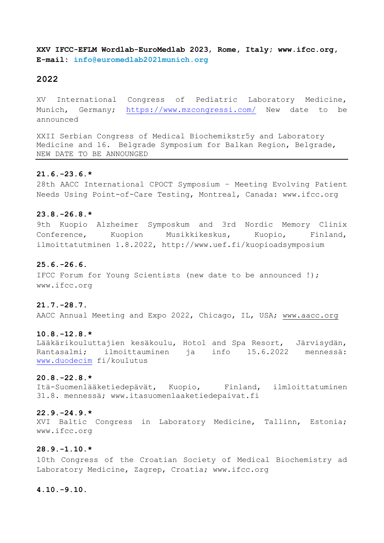**XXV IFCC-EFLM Wordlab-EuroMedlab 2023**, **Rome, Italy; www.ifcc.org, E-mail: [info@euromedlab2021munich.org](mailto:info@euromedlab2021munich.org)**

## **2022**

XV International Congress of Pediatric Laboratory Medicine, Munich, Germany; <https://www.mzcongressi.com/> New date to be announced

XXII Serbian Congress of Medical Biochemikstr5y and Laboratory Medicine and 16. Belgrade Symposium for Balkan Region, Belgrade, NEW DATE TO BE ANNOUNGED

## **21.6.-23.6.\***

28th AACC International CPOCT Symposium – Meeting Evolving Patient Needs Using Point-of-Care Testing, Montreal, Canada: www.ifcc.org

#### **23.8.-26.8.\***

9th Kuopio Alzheimer Symposkum and 3rd Nordic Memory Clinix Conference, Kuopion Musikkikeskus, Kuopio, Finland, ilmoittatutminen 1.8.2022, http://www.uef.fi/kuopioadsymposium

## **25.6.-26.6.**

IFCC Forum for Young Scientists (new date to be announced !); www.ifcc.org

#### **21.7.-28.7.**

AACC Annual Meeting and Expo 2022, Chicago, IL, USA; [www.aacc.org](http://www.aacc.org/)

#### **10.8.-12.8.\***

Lääkärikouluttajien kesäkoulu, Hotol and Spa Resort, Järvisydän, Rantasalmi; ilmoittauminen ja info 15.6.2022 mennessä: [www.duodecim](http://www.duodecim/) fi/koulutus

# **20.8.-22.8.\***

Itä-Suomenlääketiedepävät, Kuopio, Finland, ilmloittatuminen 31.8. mennessä; www.itasuomenlaaketiedepaivat.fi

### **22.9.-24.9.\***

XVI Baltic Congress in Laboratory Medicine, Tallinn, Estonia; www.ifcc.org

## **28.9.-1.10.\***

10th Congress of the Croatian Society of Medical Biochemistry ad Laboratory Medicine, Zagrep, Croatia; www.ifcc.org

### **4.10.-9.10.**